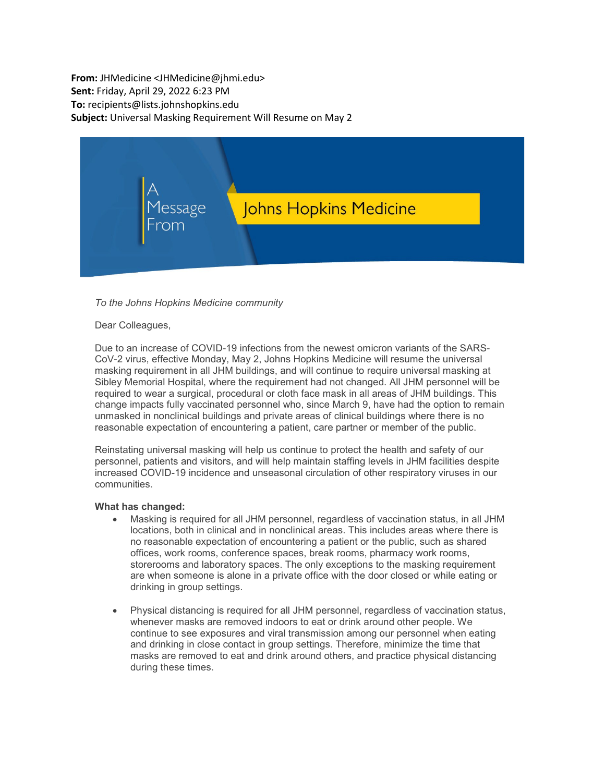**From:** JHMedicine <JHMedicine@jhmi.edu> **Sent:** Friday, April 29, 2022 6:23 PM **To:** recipients@lists.johnshopkins.edu **Subject:** Universal Masking Requirement Will Resume on May 2



## *To the Johns Hopkins Medicine community*

## Dear Colleagues,

Due to an increase of COVID-19 infections from the newest omicron variants of the SARS-CoV-2 virus, effective Monday, May 2, Johns Hopkins Medicine will resume the universal masking requirement in all JHM buildings, and will continue to require universal masking at Sibley Memorial Hospital, where the requirement had not changed. All JHM personnel will be required to wear a surgical, procedural or cloth face mask in all areas of JHM buildings. This change impacts fully vaccinated personnel who, since March 9, have had the option to remain unmasked in nonclinical buildings and private areas of clinical buildings where there is no reasonable expectation of encountering a patient, care partner or member of the public.

Reinstating universal masking will help us continue to protect the health and safety of our personnel, patients and visitors, and will help maintain staffing levels in JHM facilities despite increased COVID-19 incidence and unseasonal circulation of other respiratory viruses in our communities.

## **What has changed:**

- Masking is required for all JHM personnel, regardless of vaccination status, in all JHM locations, both in clinical and in nonclinical areas. This includes areas where there is no reasonable expectation of encountering a patient or the public, such as shared offices, work rooms, conference spaces, break rooms, pharmacy work rooms, storerooms and laboratory spaces. The only exceptions to the masking requirement are when someone is alone in a private office with the door closed or while eating or drinking in group settings.
- Physical distancing is required for all JHM personnel, regardless of vaccination status, whenever masks are removed indoors to eat or drink around other people. We continue to see exposures and viral transmission among our personnel when eating and drinking in close contact in group settings. Therefore, minimize the time that masks are removed to eat and drink around others, and practice physical distancing during these times.